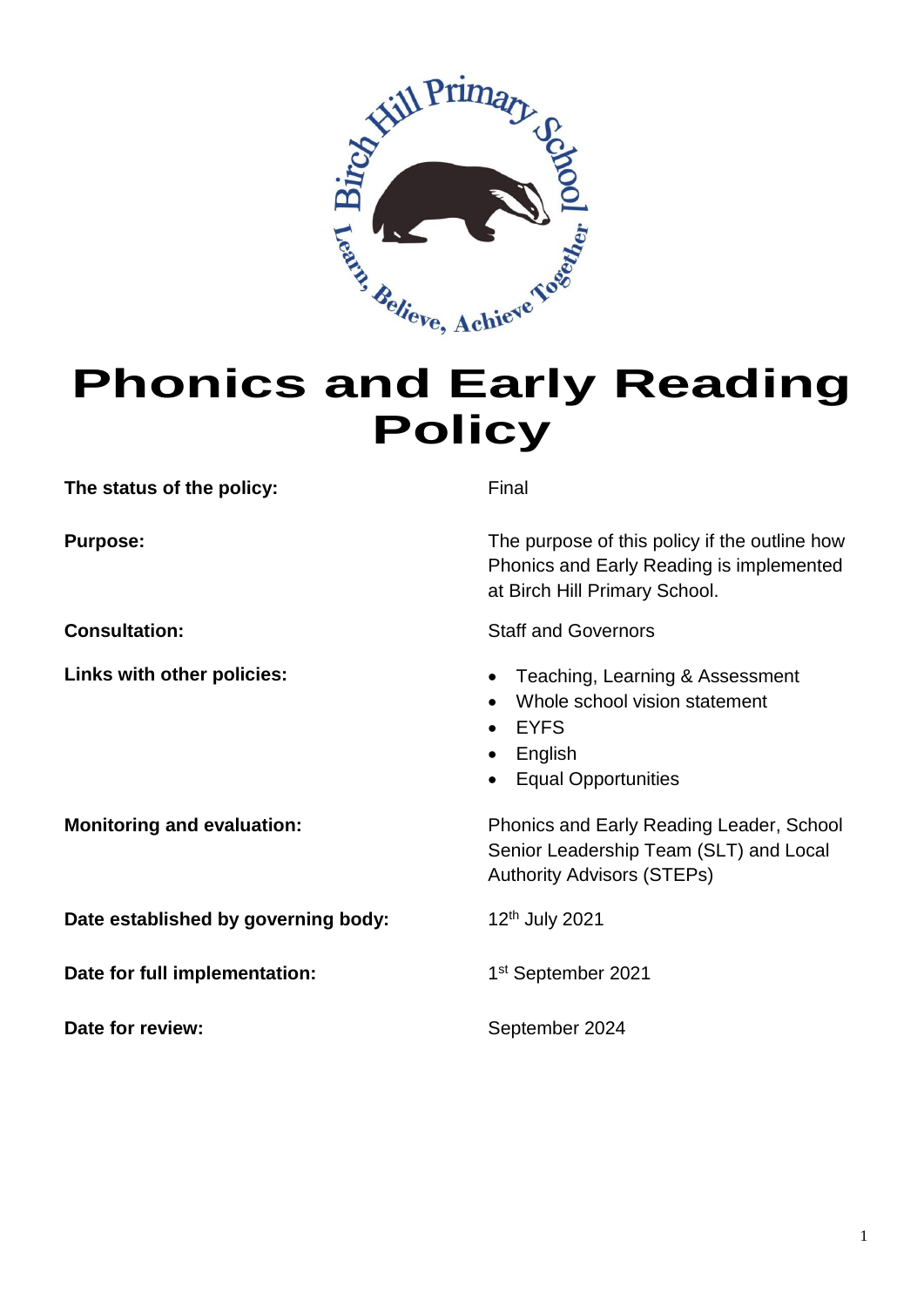

# **Policy**

**The status of the policy:** Final

**Date established by governing body:** 12<sup>th</sup> July 2021

**Date for full implementation:** 

**Date for review:** September 2024

**Purpose:** The purpose of this policy if the outline how Phonics and Early Reading is implemented at Birch Hill Primary School.

**Consultation:** Staff and Governors

- Links with other policies:  $\qquad \qquad \bullet \quad$  Teaching, Learning & Assessment
	- Whole school vision statement
	- EYFS
	- English
	- Equal Opportunities

**Monitoring and evaluation:** Phonics and Early Reading Leader, School Senior Leadership Team (SLT) and Local Authority Advisors (STEPs)

1st September 2021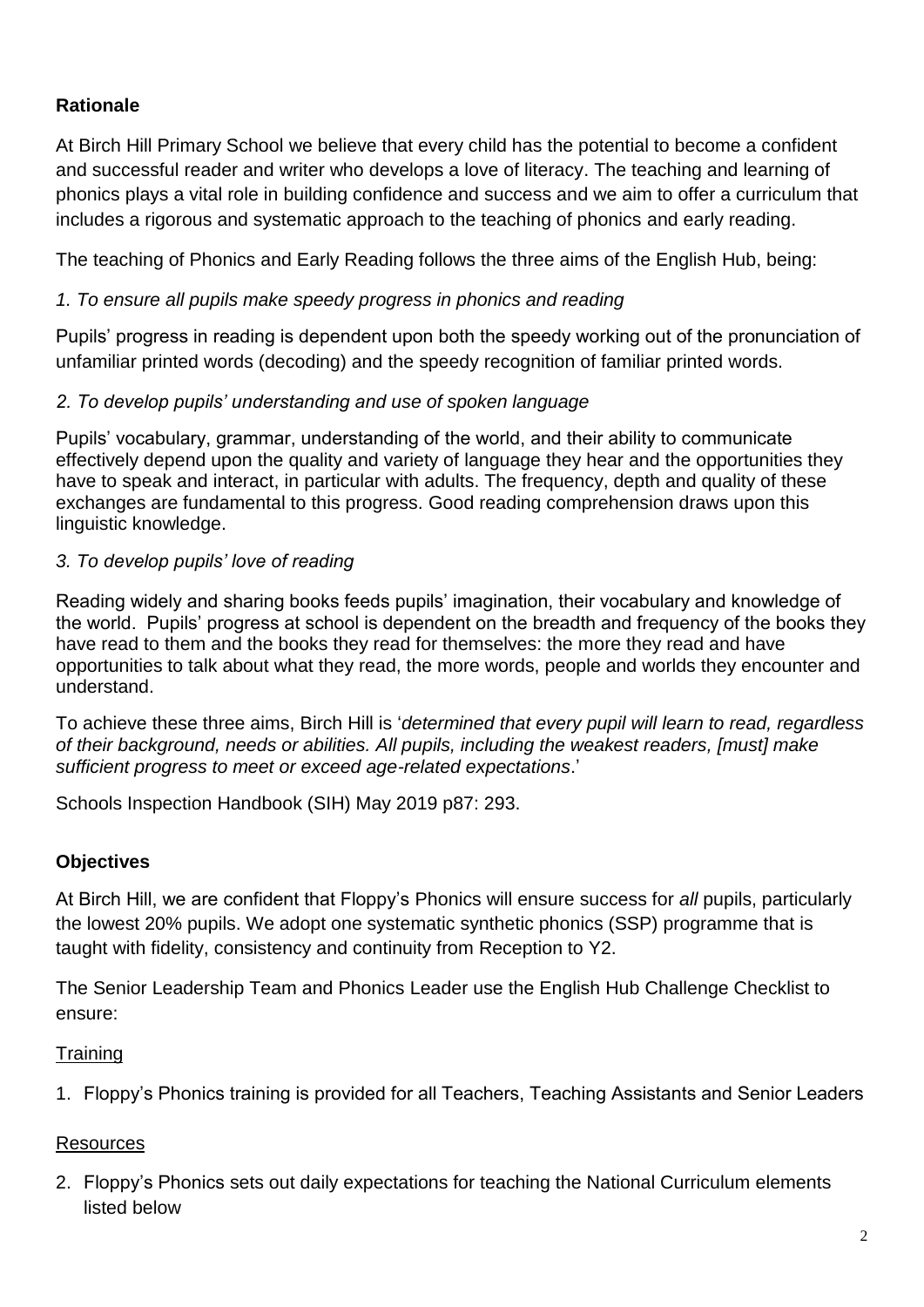## **Rationale**

At Birch Hill Primary School we believe that every child has the potential to become a confident and successful reader and writer who develops a love of literacy. The teaching and learning of phonics plays a vital role in building confidence and success and we aim to offer a curriculum that includes a rigorous and systematic approach to the teaching of phonics and early reading.

The teaching of Phonics and Early Reading follows the three aims of the English Hub, being:

#### *1. To ensure all pupils make speedy progress in phonics and reading*

Pupils' progress in reading is dependent upon both the speedy working out of the pronunciation of unfamiliar printed words (decoding) and the speedy recognition of familiar printed words.

#### *2. To develop pupils' understanding and use of spoken language*

Pupils' vocabulary, grammar, understanding of the world, and their ability to communicate effectively depend upon the quality and variety of language they hear and the opportunities they have to speak and interact, in particular with adults. The frequency, depth and quality of these exchanges are fundamental to this progress. Good reading comprehension draws upon this linguistic knowledge.

## *3. To develop pupils' love of reading*

Reading widely and sharing books feeds pupils' imagination, their vocabulary and knowledge of the world. Pupils' progress at school is dependent on the breadth and frequency of the books they have read to them and the books they read for themselves: the more they read and have opportunities to talk about what they read, the more words, people and worlds they encounter and understand.

To achieve these three aims, Birch Hill is '*determined that every pupil will learn to read, regardless of their background, needs or abilities. All pupils, including the weakest readers, [must] make sufficient progress to meet or exceed age-related expectations*.'

Schools Inspection Handbook (SIH) May 2019 p87: 293.

## **Objectives**

At Birch Hill, we are confident that Floppy's Phonics will ensure success for *all* pupils, particularly the lowest 20% pupils. We adopt one systematic synthetic phonics (SSP) programme that is taught with fidelity, consistency and continuity from Reception to Y2.

The Senior Leadership Team and Phonics Leader use the English Hub Challenge Checklist to ensure:

#### **Training**

1. Floppy's Phonics training is provided for all Teachers, Teaching Assistants and Senior Leaders

## Resources

2. Floppy's Phonics sets out daily expectations for teaching the National Curriculum elements listed below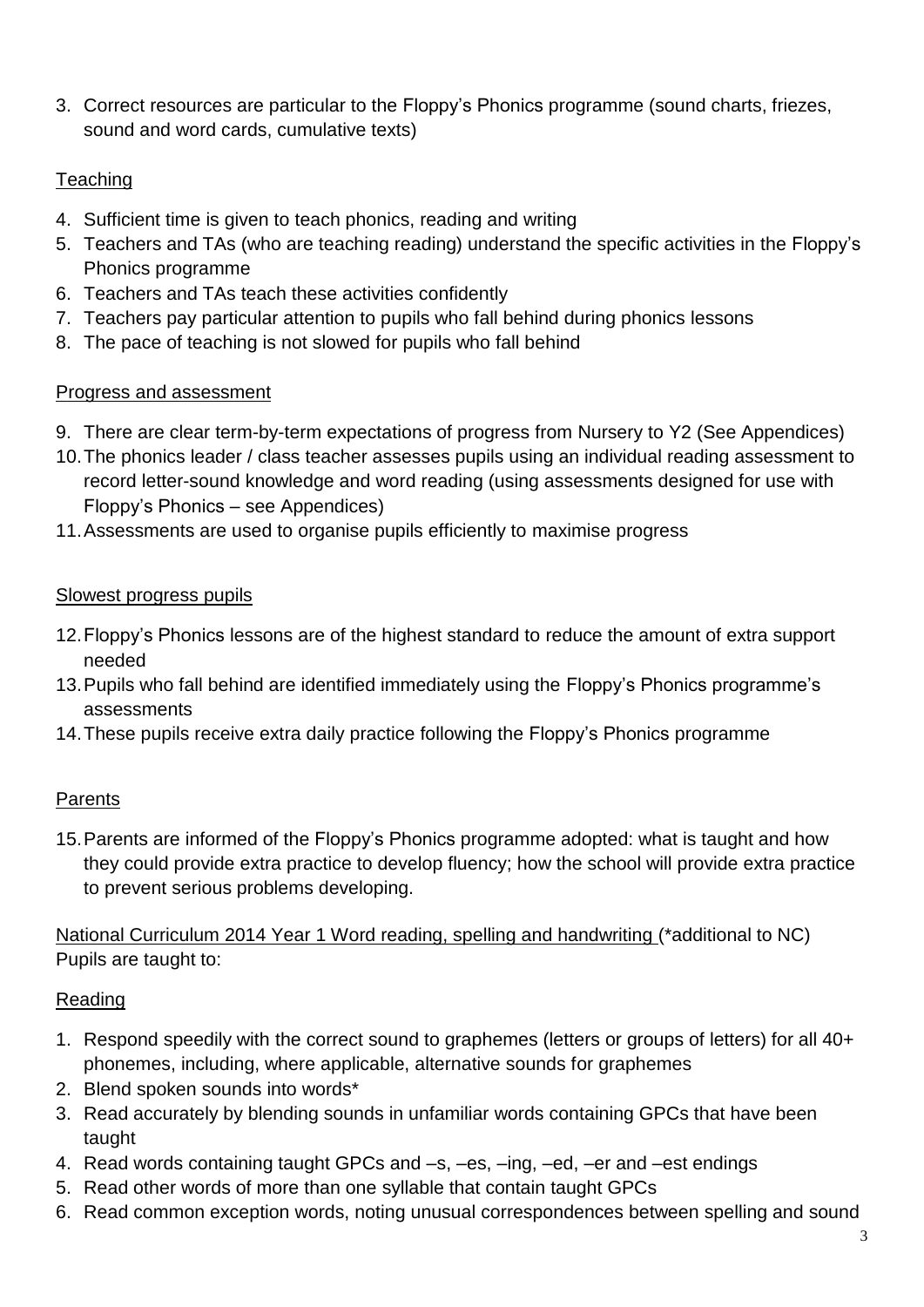3. Correct resources are particular to the Floppy's Phonics programme (sound charts, friezes, sound and word cards, cumulative texts)

## **Teaching**

- 4. Sufficient time is given to teach phonics, reading and writing
- 5. Teachers and TAs (who are teaching reading) understand the specific activities in the Floppy's Phonics programme
- 6. Teachers and TAs teach these activities confidently
- 7. Teachers pay particular attention to pupils who fall behind during phonics lessons
- 8. The pace of teaching is not slowed for pupils who fall behind

#### Progress and assessment

- 9. There are clear term-by-term expectations of progress from Nursery to Y2 (See Appendices)
- 10.The phonics leader / class teacher assesses pupils using an individual reading assessment to record letter-sound knowledge and word reading (using assessments designed for use with Floppy's Phonics – see Appendices)
- 11.Assessments are used to organise pupils efficiently to maximise progress

#### Slowest progress pupils

- 12.Floppy's Phonics lessons are of the highest standard to reduce the amount of extra support needed
- 13.Pupils who fall behind are identified immediately using the Floppy's Phonics programme's assessments
- 14.These pupils receive extra daily practice following the Floppy's Phonics programme

#### Parents

15.Parents are informed of the Floppy's Phonics programme adopted: what is taught and how they could provide extra practice to develop fluency; how the school will provide extra practice to prevent serious problems developing.

National Curriculum 2014 Year 1 Word reading, spelling and handwriting (\*additional to NC) Pupils are taught to:

#### Reading

- 1. Respond speedily with the correct sound to graphemes (letters or groups of letters) for all 40+ phonemes, including, where applicable, alternative sounds for graphemes
- 2. Blend spoken sounds into words\*
- 3. Read accurately by blending sounds in unfamiliar words containing GPCs that have been taught
- 4. Read words containing taught GPCs and –s, –es, –ing, –ed, –er and –est endings
- 5. Read other words of more than one syllable that contain taught GPCs
- 6. Read common exception words, noting unusual correspondences between spelling and sound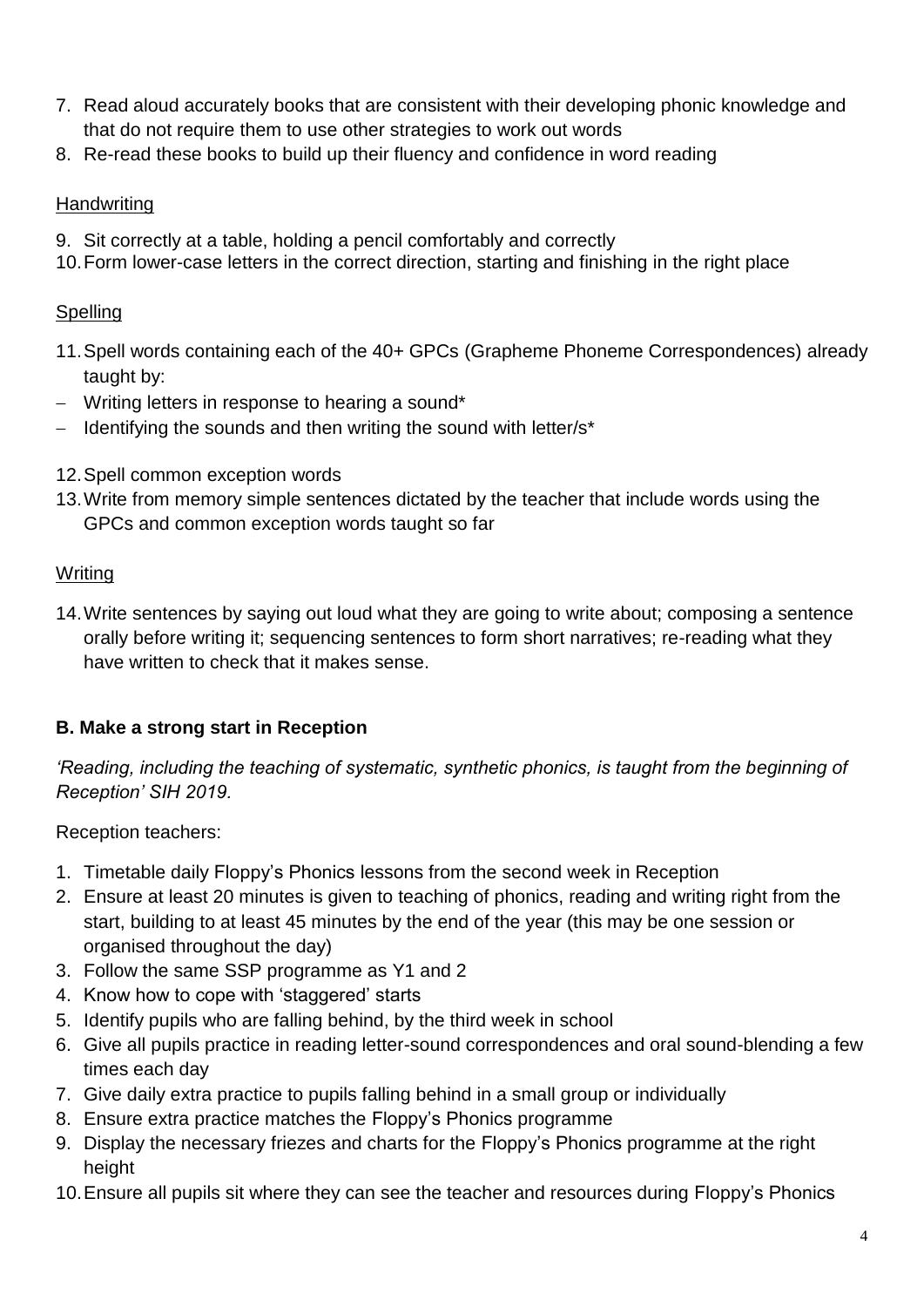- 7. Read aloud accurately books that are consistent with their developing phonic knowledge and that do not require them to use other strategies to work out words
- 8. Re-read these books to build up their fluency and confidence in word reading

#### **Handwriting**

- 9. Sit correctly at a table, holding a pencil comfortably and correctly
- 10.Form lower-case letters in the correct direction, starting and finishing in the right place

## **Spelling**

- 11.Spell words containing each of the 40+ GPCs (Grapheme Phoneme Correspondences) already taught by:
- Writing letters in response to hearing a sound\*
- Identifying the sounds and then writing the sound with letter/s\*
- 12.Spell common exception words
- 13.Write from memory simple sentences dictated by the teacher that include words using the GPCs and common exception words taught so far

#### **Writing**

14.Write sentences by saying out loud what they are going to write about; composing a sentence orally before writing it; sequencing sentences to form short narratives; re-reading what they have written to check that it makes sense.

## **B. Make a strong start in Reception**

*'Reading, including the teaching of systematic, synthetic phonics, is taught from the beginning of Reception' SIH 2019.*

Reception teachers:

- 1. Timetable daily Floppy's Phonics lessons from the second week in Reception
- 2. Ensure at least 20 minutes is given to teaching of phonics, reading and writing right from the start, building to at least 45 minutes by the end of the year (this may be one session or organised throughout the day)
- 3. Follow the same SSP programme as Y1 and 2
- 4. Know how to cope with 'staggered' starts
- 5. Identify pupils who are falling behind, by the third week in school
- 6. Give all pupils practice in reading letter-sound correspondences and oral sound-blending a few times each day
- 7. Give daily extra practice to pupils falling behind in a small group or individually
- 8. Ensure extra practice matches the Floppy's Phonics programme
- 9. Display the necessary friezes and charts for the Floppy's Phonics programme at the right height
- 10.Ensure all pupils sit where they can see the teacher and resources during Floppy's Phonics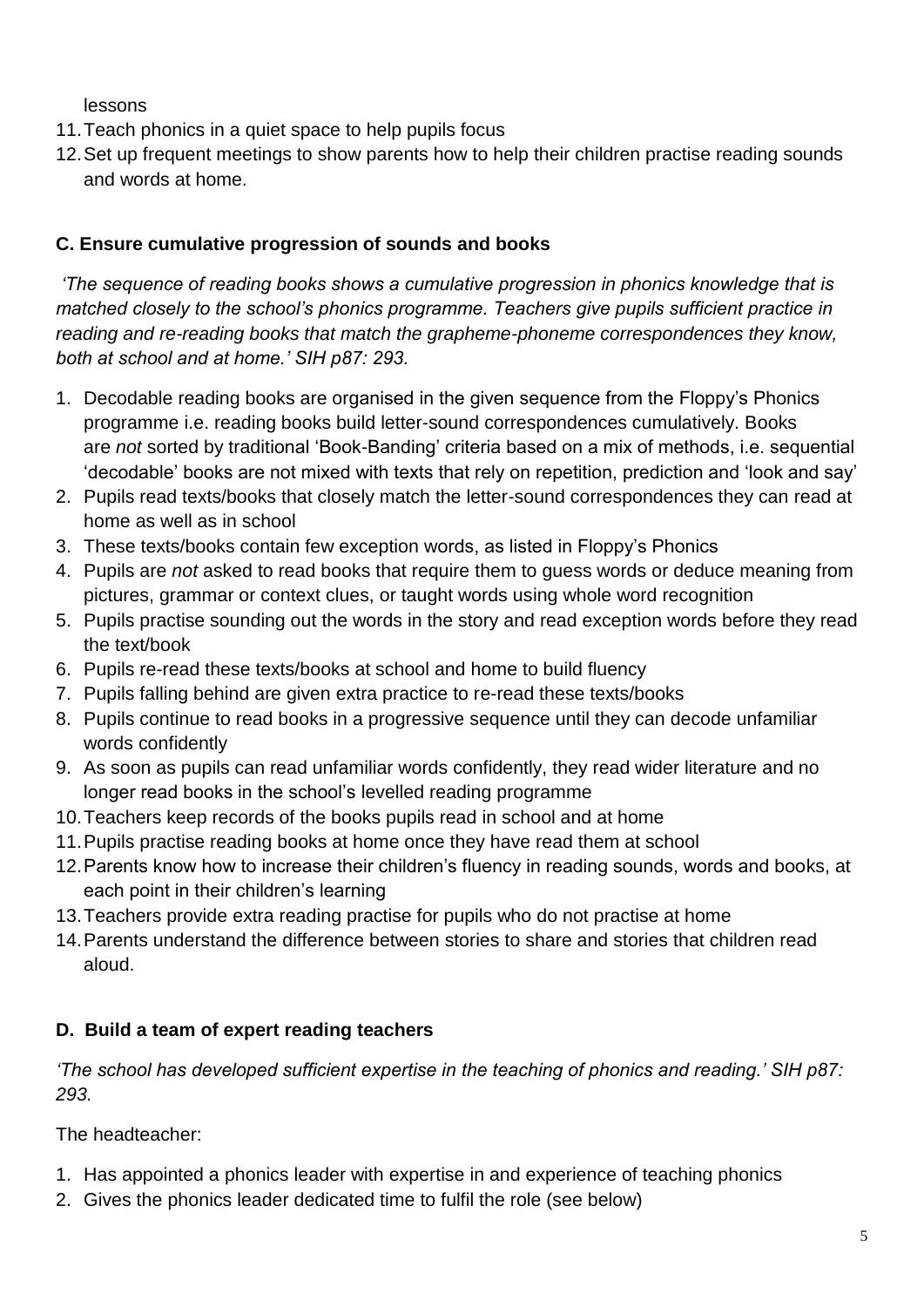lessons

- 11.Teach phonics in a quiet space to help pupils focus
- 12.Set up frequent meetings to show parents how to help their children practise reading sounds and words at home.

## **C. Ensure cumulative progression of sounds and books**

*'The sequence of reading books shows a cumulative progression in phonics knowledge that is matched closely to the school's phonics programme. Teachers give pupils sufficient practice in reading and re-reading books that match the grapheme-phoneme correspondences they know, both at school and at home.' SIH p87: 293.*

- 1. Decodable reading books are organised in the given sequence from the Floppy's Phonics programme i.e. reading books build letter-sound correspondences cumulatively. Books are *not* sorted by traditional 'Book-Banding' criteria based on a mix of methods, i.e. sequential 'decodable' books are not mixed with texts that rely on repetition, prediction and 'look and say'
- 2. Pupils read texts/books that closely match the letter-sound correspondences they can read at home as well as in school
- 3. These texts/books contain few exception words, as listed in Floppy's Phonics
- 4. Pupils are *not* asked to read books that require them to guess words or deduce meaning from pictures, grammar or context clues, or taught words using whole word recognition
- 5. Pupils practise sounding out the words in the story and read exception words before they read the text/book
- 6. Pupils re-read these texts/books at school and home to build fluency
- 7. Pupils falling behind are given extra practice to re-read these texts/books
- 8. Pupils continue to read books in a progressive sequence until they can decode unfamiliar words confidently
- 9. As soon as pupils can read unfamiliar words confidently, they read wider literature and no longer read books in the school's levelled reading programme
- 10.Teachers keep records of the books pupils read in school and at home
- 11.Pupils practise reading books at home once they have read them at school
- 12.Parents know how to increase their children's fluency in reading sounds, words and books, at each point in their children's learning
- 13.Teachers provide extra reading practise for pupils who do not practise at home
- 14.Parents understand the difference between stories to share and stories that children read aloud.

# **D. Build a team of expert reading teachers**

*'The school has developed sufficient expertise in the teaching of phonics and reading.' SIH p87: 293.*

The headteacher:

- 1. Has appointed a phonics leader with expertise in and experience of teaching phonics
- 2. Gives the phonics leader dedicated time to fulfil the role (see below)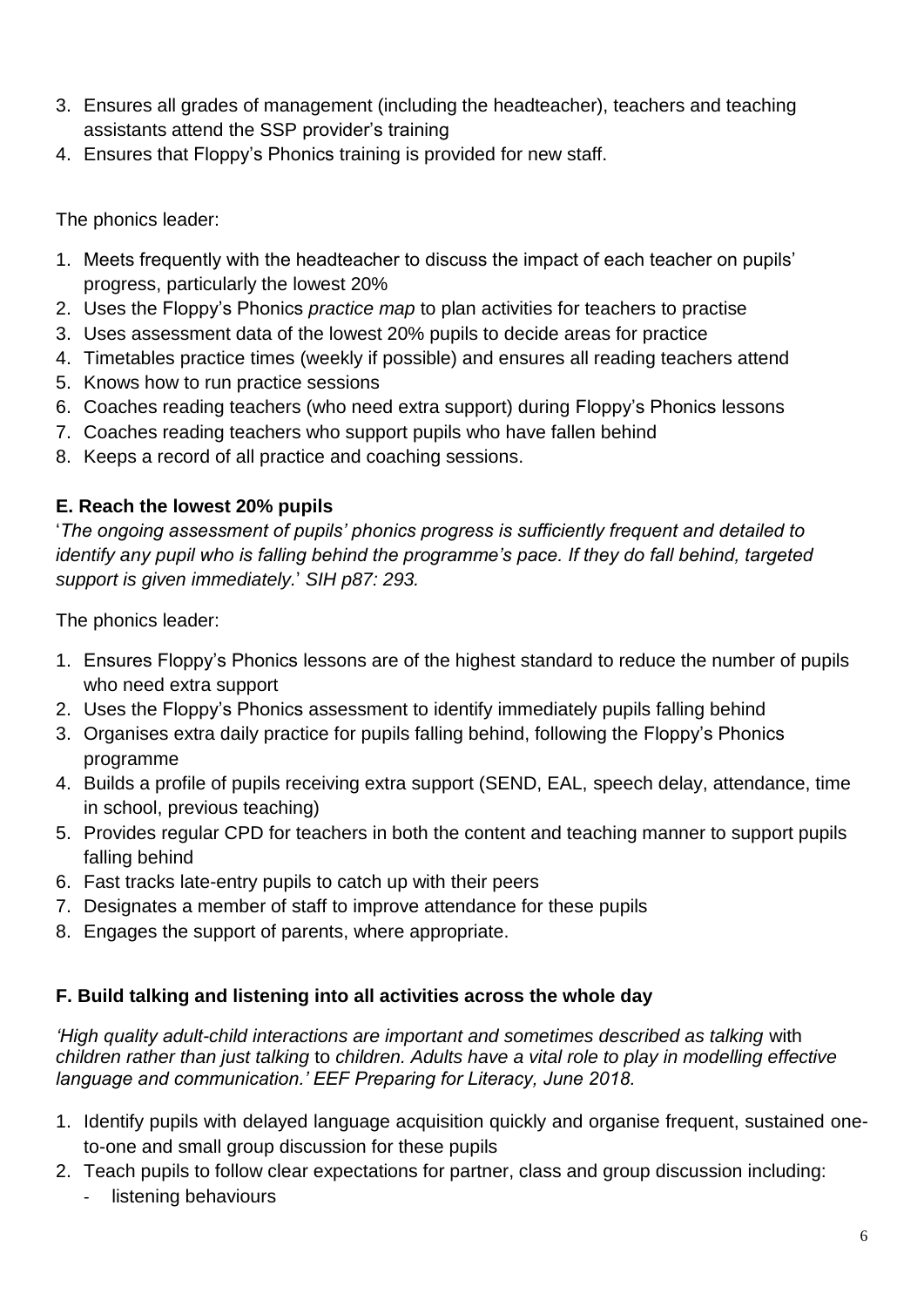- 3. Ensures all grades of management (including the headteacher), teachers and teaching assistants attend the SSP provider's training
- 4. Ensures that Floppy's Phonics training is provided for new staff.

The phonics leader:

- 1. Meets frequently with the headteacher to discuss the impact of each teacher on pupils' progress, particularly the lowest 20%
- 2. Uses the Floppy's Phonics *practice map* to plan activities for teachers to practise
- 3. Uses assessment data of the lowest 20% pupils to decide areas for practice
- 4. Timetables practice times (weekly if possible) and ensures all reading teachers attend
- 5. Knows how to run practice sessions
- 6. Coaches reading teachers (who need extra support) during Floppy's Phonics lessons
- 7. Coaches reading teachers who support pupils who have fallen behind
- 8. Keeps a record of all practice and coaching sessions.

## **E. Reach the lowest 20% pupils**

'*The ongoing assessment of pupils' phonics progress is sufficiently frequent and detailed to identify any pupil who is falling behind the programme's pace. If they do fall behind, targeted support is given immediately.*' *SIH p87: 293.*

The phonics leader:

- 1. Ensures Floppy's Phonics lessons are of the highest standard to reduce the number of pupils who need extra support
- 2. Uses the Floppy's Phonics assessment to identify immediately pupils falling behind
- 3. Organises extra daily practice for pupils falling behind, following the Floppy's Phonics programme
- 4. Builds a profile of pupils receiving extra support (SEND, EAL, speech delay, attendance, time in school, previous teaching)
- 5. Provides regular CPD for teachers in both the content and teaching manner to support pupils falling behind
- 6. Fast tracks late-entry pupils to catch up with their peers
- 7. Designates a member of staff to improve attendance for these pupils
- 8. Engages the support of parents, where appropriate.

## **F. Build talking and listening into all activities across the whole day**

*'High quality adult-child interactions are important and sometimes described as talking* with *children rather than just talking* to *children. Adults have a vital role to play in modelling effective language and communication.' EEF Preparing for Literacy, June 2018.*

- 1. Identify pupils with delayed language acquisition quickly and organise frequent, sustained oneto-one and small group discussion for these pupils
- 2. Teach pupils to follow clear expectations for partner, class and group discussion including:
	- listening behaviours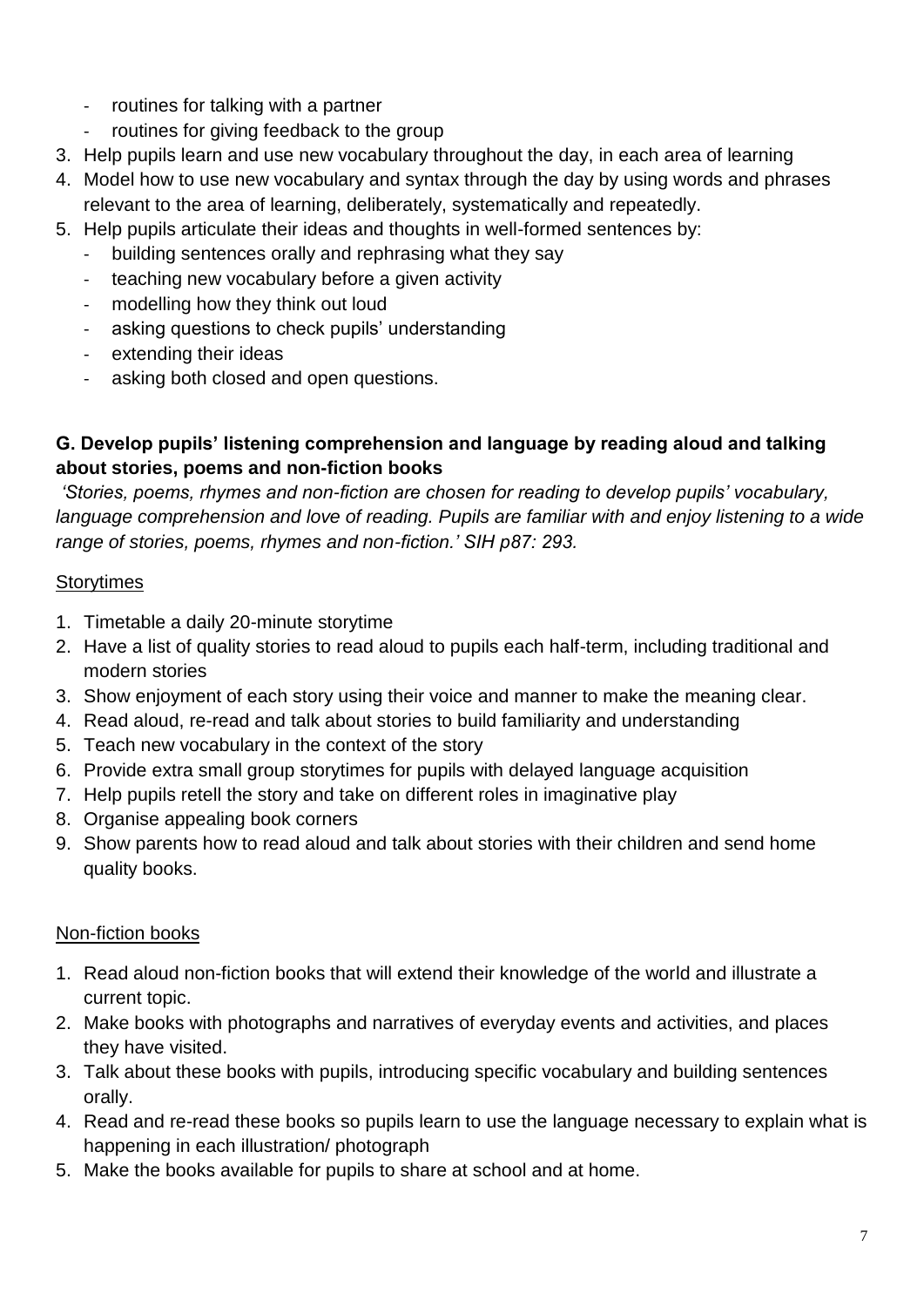- routines for talking with a partner
- routines for giving feedback to the group
- 3. Help pupils learn and use new vocabulary throughout the day, in each area of learning
- 4. Model how to use new vocabulary and syntax through the day by using words and phrases relevant to the area of learning, deliberately, systematically and repeatedly.
- 5. Help pupils articulate their ideas and thoughts in well-formed sentences by:
	- building sentences orally and rephrasing what they say
	- teaching new vocabulary before a given activity
	- modelling how they think out loud
	- asking questions to check pupils' understanding
	- extending their ideas
	- asking both closed and open questions.

## **G. Develop pupils' listening comprehension and language by reading aloud and talking about stories, poems and non-fiction books**

*'Stories, poems, rhymes and non-fiction are chosen for reading to develop pupils' vocabulary,*  language comprehension and love of reading. Pupils are familiar with and enjoy listening to a wide *range of stories, poems, rhymes and non-fiction.' SIH p87: 293.*

## **Storytimes**

- 1. Timetable a daily 20-minute storytime
- 2. Have a list of quality stories to read aloud to pupils each half-term, including traditional and modern stories
- 3. Show enjoyment of each story using their voice and manner to make the meaning clear.
- 4. Read aloud, re-read and talk about stories to build familiarity and understanding
- 5. Teach new vocabulary in the context of the story
- 6. Provide extra small group storytimes for pupils with delayed language acquisition
- 7. Help pupils retell the story and take on different roles in imaginative play
- 8. Organise appealing book corners
- 9. Show parents how to read aloud and talk about stories with their children and send home quality books.

## Non-fiction books

- 1. Read aloud non-fiction books that will extend their knowledge of the world and illustrate a current topic.
- 2. Make books with photographs and narratives of everyday events and activities, and places they have visited.
- 3. Talk about these books with pupils, introducing specific vocabulary and building sentences orally.
- 4. Read and re-read these books so pupils learn to use the language necessary to explain what is happening in each illustration/ photograph
- 5. Make the books available for pupils to share at school and at home.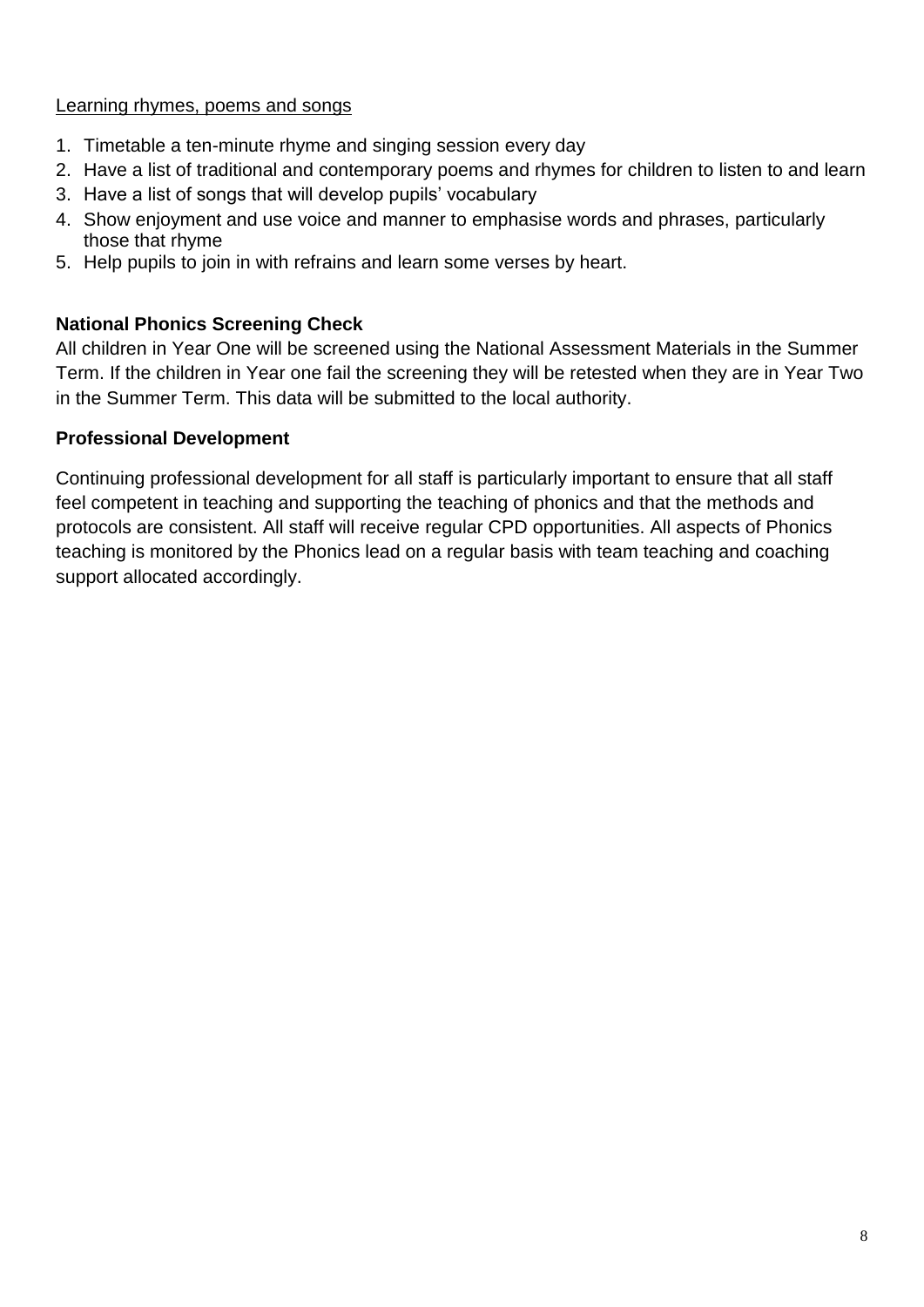#### Learning rhymes, poems and songs

- 1. Timetable a ten-minute rhyme and singing session every day
- 2. Have a list of traditional and contemporary poems and rhymes for children to listen to and learn
- 3. Have a list of songs that will develop pupils' vocabulary
- 4. Show enjoyment and use voice and manner to emphasise words and phrases, particularly those that rhyme
- 5. Help pupils to join in with refrains and learn some verses by heart.

#### **National Phonics Screening Check**

All children in Year One will be screened using the National Assessment Materials in the Summer Term. If the children in Year one fail the screening they will be retested when they are in Year Two in the Summer Term. This data will be submitted to the local authority.

#### **Professional Development**

Continuing professional development for all staff is particularly important to ensure that all staff feel competent in teaching and supporting the teaching of phonics and that the methods and protocols are consistent. All staff will receive regular CPD opportunities. All aspects of Phonics teaching is monitored by the Phonics lead on a regular basis with team teaching and coaching support allocated accordingly.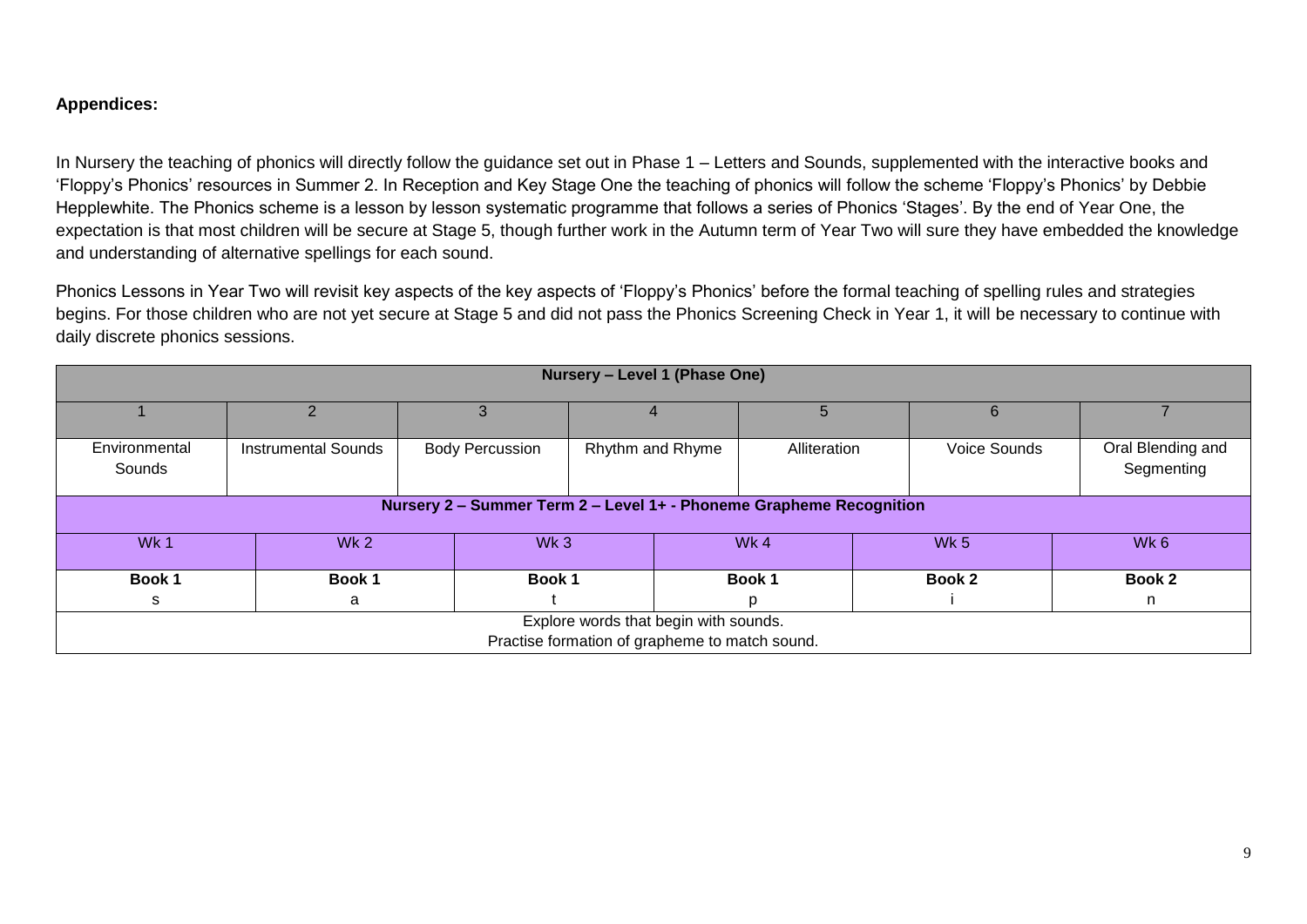#### **Appendices:**

In Nursery the teaching of phonics will directly follow the guidance set out in Phase 1 – Letters and Sounds, supplemented with the interactive books and 'Floppy's Phonics' resources in Summer 2. In Reception and Key Stage One the teaching of phonics will follow the scheme 'Floppy's Phonics' by Debbie Hepplewhite. The Phonics scheme is a lesson by lesson systematic programme that follows a series of Phonics 'Stages'. By the end of Year One, the expectation is that most children will be secure at Stage 5, though further work in the Autumn term of Year Two will sure they have embedded the knowledge and understanding of alternative spellings for each sound.

Phonics Lessons in Year Two will revisit key aspects of the key aspects of 'Floppy's Phonics' before the formal teaching of spelling rules and strategies begins. For those children who are not yet secure at Stage 5 and did not pass the Phonics Screening Check in Year 1, it will be necessary to continue with daily discrete phonics sessions.

| Nursery - Level 1 (Phase One)                                       |                            |                        |                  |              |                 |                                 |  |  |  |
|---------------------------------------------------------------------|----------------------------|------------------------|------------------|--------------|-----------------|---------------------------------|--|--|--|
|                                                                     |                            |                        |                  | 5            | 6               |                                 |  |  |  |
| Environmental<br>Sounds                                             | <b>Instrumental Sounds</b> | <b>Body Percussion</b> | Rhythm and Rhyme | Alliteration | Voice Sounds    | Oral Blending and<br>Segmenting |  |  |  |
| Nursery 2 - Summer Term 2 - Level 1+ - Phoneme Grapheme Recognition |                            |                        |                  |              |                 |                                 |  |  |  |
| Wk 1                                                                | Wk <sub>2</sub>            | Wk <sub>3</sub>        |                  | Wk4          | Wk <sub>5</sub> | Wk 6                            |  |  |  |
| Book 1                                                              | Book 1                     | Book 1                 |                  | Book 1       | Book 2          | Book 2                          |  |  |  |
| s                                                                   | a                          |                        |                  | D            |                 | n                               |  |  |  |
| Explore words that begin with sounds.                               |                            |                        |                  |              |                 |                                 |  |  |  |
| Practise formation of grapheme to match sound.                      |                            |                        |                  |              |                 |                                 |  |  |  |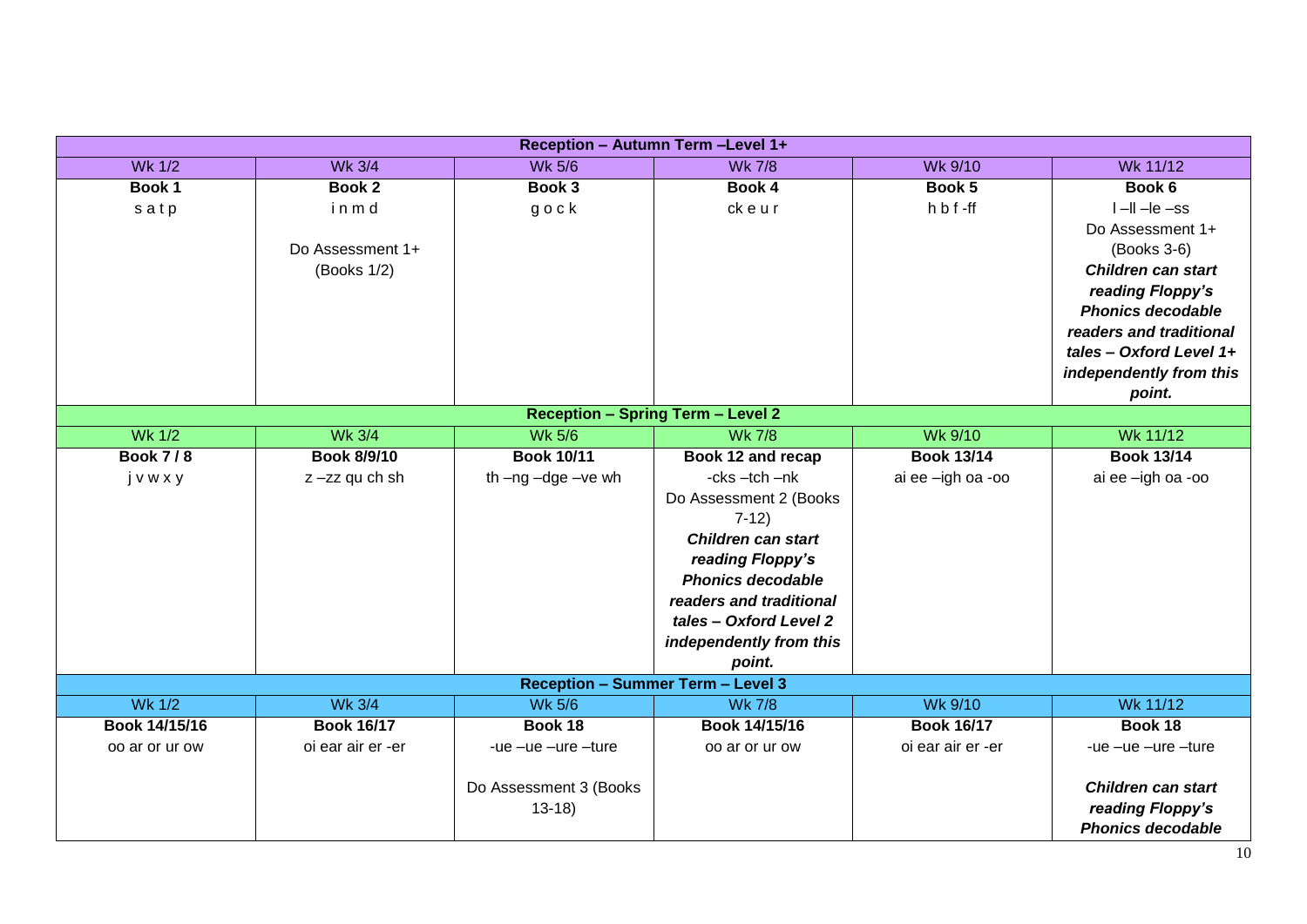| Reception - Autumn Term - Level 1+                        |                                |                        |                                          |                   |                           |  |  |  |  |
|-----------------------------------------------------------|--------------------------------|------------------------|------------------------------------------|-------------------|---------------------------|--|--|--|--|
| <b>Wk 1/2</b>                                             | <b>Wk 3/4</b>                  | <b>Wk 5/6</b>          | <b>Wk 7/8</b>                            | Wk 9/10           | Wk 11/12                  |  |  |  |  |
| Book 1                                                    | Book 2                         | Book 3                 | Book 4                                   | Book 5            | Book 6                    |  |  |  |  |
| satp                                                      | inmd                           | $g \circ c k$          | ckeur                                    | h b f-ff          | $I - II - Ie - ss$        |  |  |  |  |
|                                                           |                                |                        |                                          |                   | Do Assessment 1+          |  |  |  |  |
|                                                           | Do Assessment 1+               |                        |                                          |                   | (Books 3-6)               |  |  |  |  |
|                                                           | (Books 1/2)                    |                        |                                          |                   | <b>Children can start</b> |  |  |  |  |
|                                                           |                                |                        |                                          |                   | reading Floppy's          |  |  |  |  |
|                                                           |                                |                        |                                          |                   | <b>Phonics decodable</b>  |  |  |  |  |
|                                                           |                                |                        |                                          |                   | readers and traditional   |  |  |  |  |
|                                                           |                                |                        |                                          |                   | tales - Oxford Level 1+   |  |  |  |  |
|                                                           |                                |                        |                                          |                   | independently from this   |  |  |  |  |
|                                                           |                                |                        |                                          |                   | point.                    |  |  |  |  |
| <b>Reception - Spring Term - Level 2</b><br><b>Wk 5/6</b> |                                |                        |                                          |                   |                           |  |  |  |  |
|                                                           | <b>Wk 1/2</b><br><b>Wk 3/4</b> |                        | Wk 9/10<br><b>Wk 7/8</b>                 |                   | <b>Wk 11/12</b>           |  |  |  |  |
| <b>Book 7/8</b>                                           | Book 8/9/10                    | <b>Book 10/11</b>      | Book 12 and recap                        | <b>Book 13/14</b> | <b>Book 13/14</b>         |  |  |  |  |
| jvwxy                                                     | z-zz qu ch sh                  | th-ng-dge-ve wh        | -cks -tch -nk                            | ai ee -igh oa -oo | ai ee -igh oa -oo         |  |  |  |  |
|                                                           |                                |                        | Do Assessment 2 (Books                   |                   |                           |  |  |  |  |
|                                                           |                                |                        | $7-12)$                                  |                   |                           |  |  |  |  |
|                                                           |                                |                        | <b>Children can start</b>                |                   |                           |  |  |  |  |
|                                                           |                                |                        | reading Floppy's                         |                   |                           |  |  |  |  |
|                                                           |                                |                        | <b>Phonics decodable</b>                 |                   |                           |  |  |  |  |
|                                                           |                                |                        | readers and traditional                  |                   |                           |  |  |  |  |
|                                                           |                                |                        | tales - Oxford Level 2                   |                   |                           |  |  |  |  |
|                                                           |                                |                        | independently from this                  |                   |                           |  |  |  |  |
|                                                           |                                |                        | point.                                   |                   |                           |  |  |  |  |
|                                                           |                                |                        | <b>Reception - Summer Term - Level 3</b> |                   |                           |  |  |  |  |
| <b>Wk 1/2</b>                                             | <b>Wk 3/4</b>                  | <b>Wk 5/6</b>          | <b>Wk 7/8</b>                            | <b>Wk 9/10</b>    | Wk 11/12                  |  |  |  |  |
| Book 14/15/16                                             | <b>Book 16/17</b>              | Book 18                | Book 14/15/16                            | <b>Book 16/17</b> | Book 18                   |  |  |  |  |
| oo ar or ur ow                                            | oi ear air er -er              | -ue -ue -ure -ture     | oo ar or ur ow                           | oi ear air er -er | -ue $-ue$ $-ure$ $-ture$  |  |  |  |  |
|                                                           |                                |                        |                                          |                   |                           |  |  |  |  |
|                                                           |                                | Do Assessment 3 (Books |                                          |                   | <b>Children can start</b> |  |  |  |  |
|                                                           |                                | $13-18$                |                                          |                   | reading Floppy's          |  |  |  |  |
|                                                           |                                |                        |                                          |                   | <b>Phonics decodable</b>  |  |  |  |  |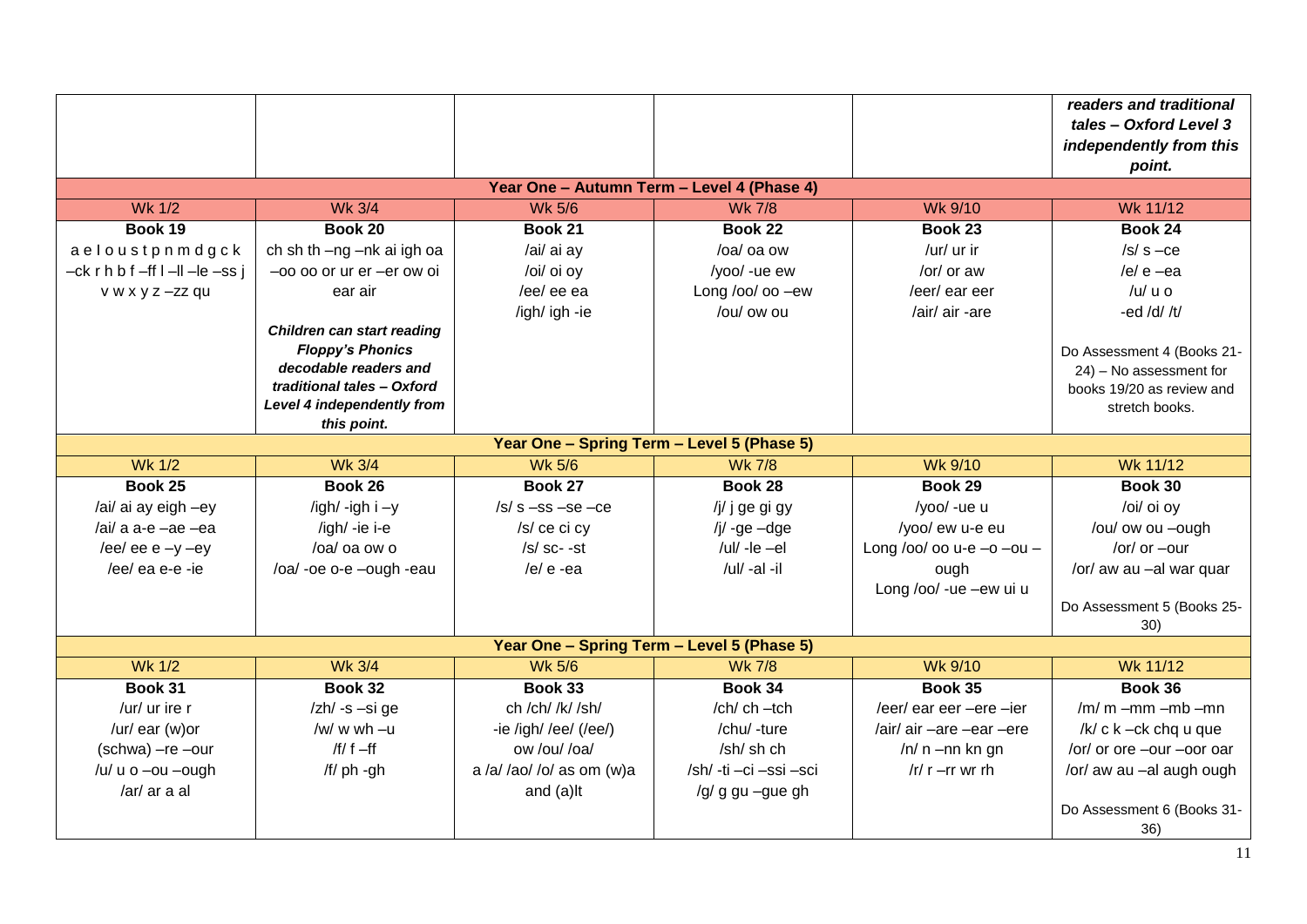|                                                                                         |                                            |                                            |                        |                                   | readers and traditional<br>tales - Oxford Level 3<br>independently from this<br>point. |  |  |  |  |  |
|-----------------------------------------------------------------------------------------|--------------------------------------------|--------------------------------------------|------------------------|-----------------------------------|----------------------------------------------------------------------------------------|--|--|--|--|--|
| Year One - Autumn Term - Level 4 (Phase 4)                                              |                                            |                                            |                        |                                   |                                                                                        |  |  |  |  |  |
| <b>Wk 1/2</b><br><b>Wk 3/4</b><br><b>Wk 5/6</b><br>Wk 9/10<br>Wk 11/12<br><b>Wk 7/8</b> |                                            |                                            |                        |                                   |                                                                                        |  |  |  |  |  |
| Book 19                                                                                 | Book 20                                    | <b>Book 21</b>                             | Book 22                | Book 23                           | Book 24                                                                                |  |  |  |  |  |
| aeloustpnmdgck                                                                          | ch sh th -ng -nk ai igh oa                 | /ai/ ai ay                                 | /oa/ oa ow             | /ur/ ur ir                        | $/s/s - ce$                                                                            |  |  |  |  |  |
| $-$ ck r h b f $-$ ff l $-$ ll $-$ le $-$ ss j                                          | -oo oo or ur er -er ow oi                  | /oi/ oi oy                                 | /yoo/ -ue ew           | /or/ or aw                        | /e/ $e$ -ea                                                                            |  |  |  |  |  |
| v w x y z -zz qu                                                                        | ear air                                    | /ee/ ee ea                                 | Long /oo/ oo $-ew$     | /eer/ ear eer                     | $/u/u$ u o                                                                             |  |  |  |  |  |
|                                                                                         |                                            | /igh/ igh -ie                              | /ou/ ow ou             | /air/ air -are                    | -ed /d/ $/t/$                                                                          |  |  |  |  |  |
|                                                                                         | <b>Children can start reading</b>          |                                            |                        |                                   |                                                                                        |  |  |  |  |  |
|                                                                                         | <b>Floppy's Phonics</b>                    |                                            |                        |                                   | Do Assessment 4 (Books 21-                                                             |  |  |  |  |  |
|                                                                                         | decodable readers and                      |                                            |                        |                                   | 24) - No assessment for                                                                |  |  |  |  |  |
|                                                                                         | traditional tales - Oxford                 |                                            |                        |                                   | books 19/20 as review and                                                              |  |  |  |  |  |
| Level 4 independently from                                                              |                                            |                                            |                        |                                   | stretch books.                                                                         |  |  |  |  |  |
| this point.                                                                             |                                            |                                            |                        |                                   |                                                                                        |  |  |  |  |  |
| <b>Wk 1/2</b>                                                                           | Year One - Spring Term - Level 5 (Phase 5) |                                            |                        |                                   |                                                                                        |  |  |  |  |  |
|                                                                                         | <b>Wk 3/4</b>                              | <b>Wk 5/6</b>                              | <b>Wk 7/8</b>          | <b>Wk 9/10</b>                    | Wk 11/12                                                                               |  |  |  |  |  |
| Book 25                                                                                 | Book 26                                    | Book 27                                    | Book 28                | Book 29                           | Book 30                                                                                |  |  |  |  |  |
| /ai/ ai ay eigh -ey                                                                     | /igh/ -igh $i - y$                         | $/s/s$ -ss -se -ce                         | /j/ j ge gi gy         | /yoo/ -ue u                       | /oi/ oi oy                                                                             |  |  |  |  |  |
| /ai/ a $a-e$ -ae -ea                                                                    | /igh/ -ie i-e                              | /s/ ce ci cy                               | /j/ -ge $-dge$         | /yoo/ ew u-e eu                   | /ou/ ow ou -ough                                                                       |  |  |  |  |  |
| /ee/ ee e $-y$ -ey                                                                      | /oa/ oa ow o                               | $/s/s$ sc- $-st$                           | /ul/ -le $-e$ l        | Long /oo/ oo u-e $-$ o $-$ ou $-$ | /or/ or $-$ our                                                                        |  |  |  |  |  |
| /ee/ ea e-e -ie                                                                         | /oa/-oe o-e -ough -eau                     | /e/ $e$ -ea                                | /ul/-al-il             | ough                              | /or/ aw au -al war quar                                                                |  |  |  |  |  |
|                                                                                         |                                            |                                            |                        | Long /oo/ -ue -ew ui u            |                                                                                        |  |  |  |  |  |
|                                                                                         |                                            |                                            |                        |                                   | Do Assessment 5 (Books 25-<br>30)                                                      |  |  |  |  |  |
|                                                                                         |                                            | Year One - Spring Term - Level 5 (Phase 5) |                        |                                   |                                                                                        |  |  |  |  |  |
| <b>Wk 1/2</b>                                                                           | <b>Wk 3/4</b>                              | <b>Wk 5/6</b>                              | <b>Wk 7/8</b>          | <b>Wk 9/10</b>                    | Wk 11/12                                                                               |  |  |  |  |  |
| Book 31                                                                                 | Book 32                                    | Book 33                                    | Book 34                | Book 35                           | Book 36                                                                                |  |  |  |  |  |
| /ur/ ur ire r                                                                           | $\mathsf{Z}$ h $\mathsf{A}$ -s -si ge      | ch /ch/ /k/ /sh/                           | $/$ ch $/$ ch $-$ tch  | /eer/ ear eer -ere -ier           | $/m/m - mm - mb - mn$                                                                  |  |  |  |  |  |
| /ur/ ear (w)or                                                                          | /w/ w wh $-u$                              | -ie /igh/ /ee/ (/ee/)                      | /chu/ -ture            | /air/ air -are -ear -ere          | /k/ c k - ck chq u que                                                                 |  |  |  |  |  |
| (schwa) -re -our                                                                        | /f/ $f - ff$                               | ow /ou/ /oa/                               | /sh/ sh ch             | $/n/ n - nn$ kn gn                | /or/ or ore -our -oor oar                                                              |  |  |  |  |  |
| /u/ u o -ou -ough                                                                       | /f/ ph -gh                                 | a /a/ /ao/ /o/ as om (w)a                  | /sh/ -ti -ci -ssi -sci | /r/ $r - rr$ wr rh                | /or/ aw au -al augh ough                                                               |  |  |  |  |  |
| /ar/ ar a al                                                                            |                                            | and (a)lt                                  | /g/ g gu -gue gh       |                                   |                                                                                        |  |  |  |  |  |
|                                                                                         |                                            |                                            |                        |                                   | Do Assessment 6 (Books 31-<br>36)                                                      |  |  |  |  |  |